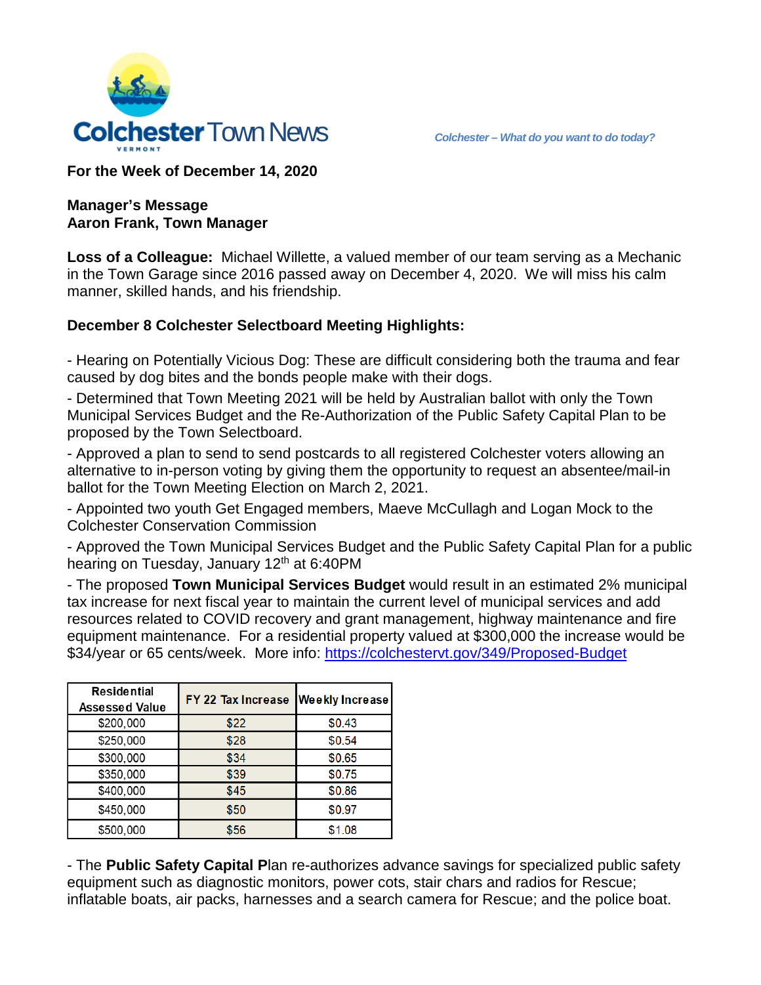

**For the Week of December 14, 2020**

#### **Manager's Message Aaron Frank, Town Manager**

**Loss of a Colleague:** Michael Willette, a valued member of our team serving as a Mechanic in the Town Garage since 2016 passed away on December 4, 2020. We will miss his calm manner, skilled hands, and his friendship.

## **December 8 Colchester Selectboard Meeting Highlights:**

- Hearing on Potentially Vicious Dog: These are difficult considering both the trauma and fear caused by dog bites and the bonds people make with their dogs.

- Determined that Town Meeting 2021 will be held by Australian ballot with only the Town Municipal Services Budget and the Re-Authorization of the Public Safety Capital Plan to be proposed by the Town Selectboard.

- Approved a plan to send to send postcards to all registered Colchester voters allowing an alternative to in-person voting by giving them the opportunity to request an absentee/mail-in ballot for the Town Meeting Election on March 2, 2021.

- Appointed two youth Get Engaged members, Maeve McCullagh and Logan Mock to the Colchester Conservation Commission

- Approved the Town Municipal Services Budget and the Public Safety Capital Plan for a public hearing on Tuesday, January 12<sup>th</sup> at 6:40PM

- The proposed **Town Municipal Services Budget** would result in an estimated 2% municipal tax increase for next fiscal year to maintain the current level of municipal services and add resources related to COVID recovery and grant management, highway maintenance and fire equipment maintenance. For a residential property valued at \$300,000 the increase would be \$34/year or 65 cents/week. More info:<https://colchestervt.gov/349/Proposed-Budget>

| <b>Residential</b><br>Assessed Value | FY 22 Tax Increase | <b>Weekly Increase</b> |
|--------------------------------------|--------------------|------------------------|
| \$200,000                            | \$22               | \$0.43                 |
| \$250,000                            | \$28               | \$0.54                 |
| \$300,000                            | \$34               | \$0.65                 |
| \$350,000                            | \$39               | \$0.75                 |
| \$400,000                            | \$45               | \$0.86                 |
| \$450,000                            | \$50               | \$0.97                 |
| \$500,000                            | \$56               | \$1.08                 |

- The **Public Safety Capital P**lan re-authorizes advance savings for specialized public safety equipment such as diagnostic monitors, power cots, stair chars and radios for Rescue; inflatable boats, air packs, harnesses and a search camera for Rescue; and the police boat.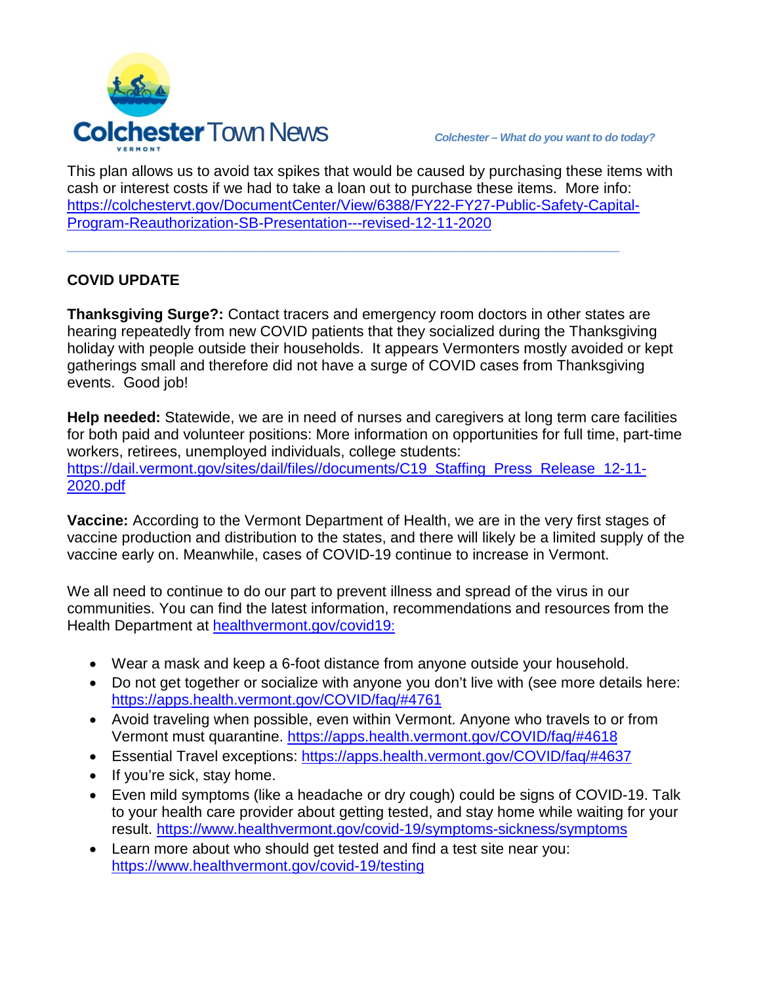

This plan allows us to avoid tax spikes that would be caused by purchasing these items with cash or interest costs if we had to take a loan out to purchase these items. More info: [https://colchestervt.gov/DocumentCenter/View/6388/FY22-FY27-Public-Safety-Capital-](https://colchestervt.gov/DocumentCenter/View/6388/FY22-FY27-Public-Safety-Capital-Program-Reauthorization-SB-Presentation---revised-12-11-2020)[Program-Reauthorization-SB-Presentation---revised-12-11-2020](https://colchestervt.gov/DocumentCenter/View/6388/FY22-FY27-Public-Safety-Capital-Program-Reauthorization-SB-Presentation---revised-12-11-2020)

**\_\_\_\_\_\_\_\_\_\_\_\_\_\_\_\_\_\_\_\_\_\_\_\_\_\_\_\_\_\_\_\_\_\_\_\_\_\_\_\_\_\_\_\_\_\_\_\_\_\_**

# **COVID UPDATE**

**Thanksgiving Surge?:** Contact tracers and emergency room doctors in other states are hearing repeatedly from new COVID patients that they socialized during the Thanksgiving holiday with people outside their households. It appears Vermonters mostly avoided or kept gatherings small and therefore did not have a surge of COVID cases from Thanksgiving events. Good job!

**Help needed:** Statewide, we are in need of nurses and caregivers at long term care facilities for both paid and volunteer positions: More information on opportunities for full time, part-time workers, retirees, unemployed individuals, college students: https://dail.vermont.gov/sites/dail/files//documents/C19 Staffing Press Release 12-11-[2020.pdf](https://dail.vermont.gov/sites/dail/files/documents/C19_Staffing_Press_Release_12-11-2020.pdf)

**Vaccine:** According to the Vermont Department of Health, we are in the very first stages of vaccine production and distribution to the states, and there will likely be a limited supply of the vaccine early on. Meanwhile, cases of COVID-19 continue to increase in Vermont.

We all need to continue to do our part to prevent illness and spread of the virus in our communities. You can find the latest information, recommendations and resources from the Health Department at [healthvermont.gov/covid19:](http://healthvermont.gov/covid19)

- Wear a mask and keep a 6-foot distance from anyone outside your household.
- Do not get together or socialize with anyone you don't live with (see more details [here:](https://apps.health.vermont.gov/COVID/faq/#4761) <https://apps.health.vermont.gov/COVID/faq/#4761>
- Avoid traveling when possible, even within Vermont. Anyone who travels to or from Vermont must quarantine. https://apps.health.vermont.gov/COVID/faq/#4618
- Essential Travel exceptions:<https://apps.health.vermont.gov/COVID/faq/#4637>
- If you're sick, stay home.
- Even mild [symptoms](https://www.healthvermont.gov/covid-19/symptoms-sickness/symptoms) (like a headache or dry cough) could be signs of COVID-19. Talk to your health care provider about getting tested, and stay home while waiting for your result.<https://www.healthvermont.gov/covid-19/symptoms-sickness/symptoms>
- Learn more about [who should get tested](https://www.healthvermont.gov/covid-19/testing) and find a test site near you: <https://www.healthvermont.gov/covid-19/testing>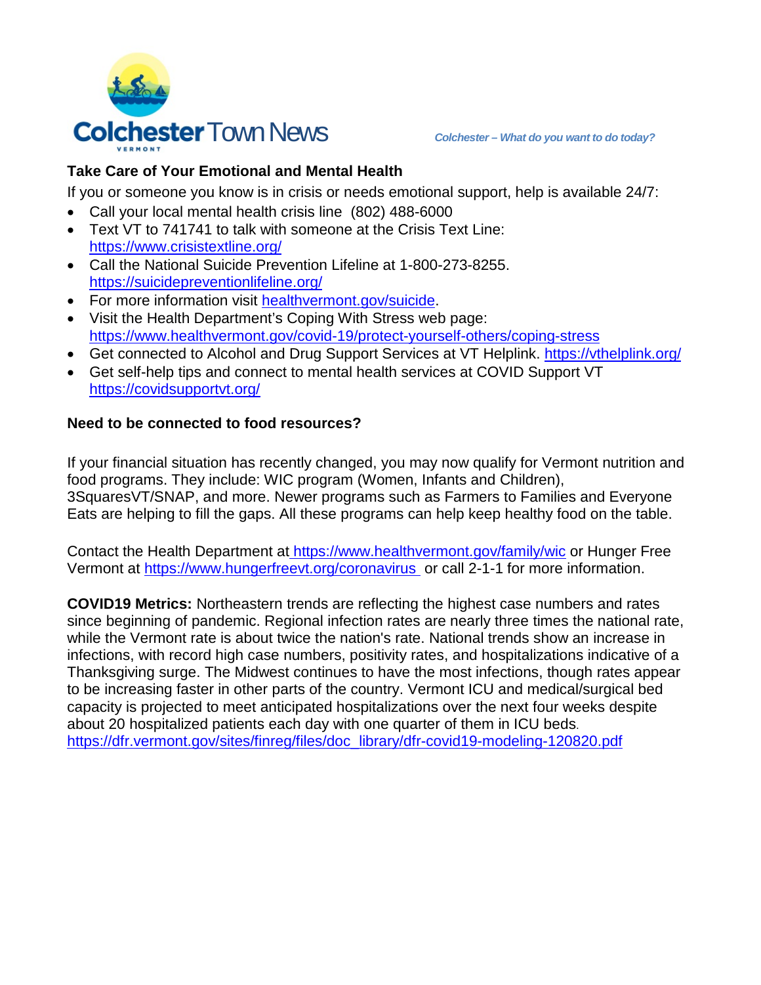

# **Take Care of Your Emotional and Mental Health**

If you or someone you know is in crisis or needs emotional support, help is available 24/7:

- Call your [local mental health crisis line](https://vermontcarepartners.org/crisis-lines/) (802) 488-6000
- Text VT to 741741 to talk with someone at the Crisis Text Line: <https://www.crisistextline.org/>
- Call the [National Suicide Prevention Lifeline](https://suicidepreventionlifeline.org/) at 1-800-273-8255. <https://suicidepreventionlifeline.org/>
- For more information visit [healthvermont.gov/suicide.](http://healthvermont.gov/suicide)
- Visit the Health Department's [Coping With Stress](https://www.healthvermont.gov/covid-19/protect-yourself-others/coping-stress) web page: <https://www.healthvermont.gov/covid-19/protect-yourself-others/coping-stress>
- Get connected to Alcohol and Drug Support Services at VT Helplink.<https://vthelplink.org/>
- Get self-help tips and connect to mental health services at COVID Support VT <https://covidsupportvt.org/>

## **Need to be connected to food resources?**

If your financial situation has recently changed, you may now qualify for Vermont nutrition and food programs. They include: WIC program (Women, Infants and Children), 3SquaresVT/SNAP, and more. Newer programs such as Farmers to Families and Everyone Eats are helping to fill the gaps. All these programs can help keep healthy food on the table.

Contact the Health Department at <https://www.healthvermont.gov/family/wic> or Hunger Free Vermont at<https://www.hungerfreevt.org/coronavirus> or call 2-1-1 for more information.

**COVID19 Metrics:** Northeastern trends are reflecting the highest case numbers and rates since beginning of pandemic. Regional infection rates are nearly three times the national rate, while the Vermont rate is about twice the nation's rate. National trends show an increase in infections, with record high case numbers, positivity rates, and hospitalizations indicative of a Thanksgiving surge. The Midwest continues to have the most infections, though rates appear to be increasing faster in other parts of the country. Vermont ICU and medical/surgical bed capacity is projected to meet anticipated hospitalizations over the next four weeks despite about 20 hospitalized patients each day with one quarter of them in ICU beds. [https://dfr.vermont.gov/sites/finreg/files/doc\\_library/dfr-covid19-modeling-120820.pdf](https://dfr.vermont.gov/sites/finreg/files/doc_library/dfr-covid19-modeling-120820.pdf)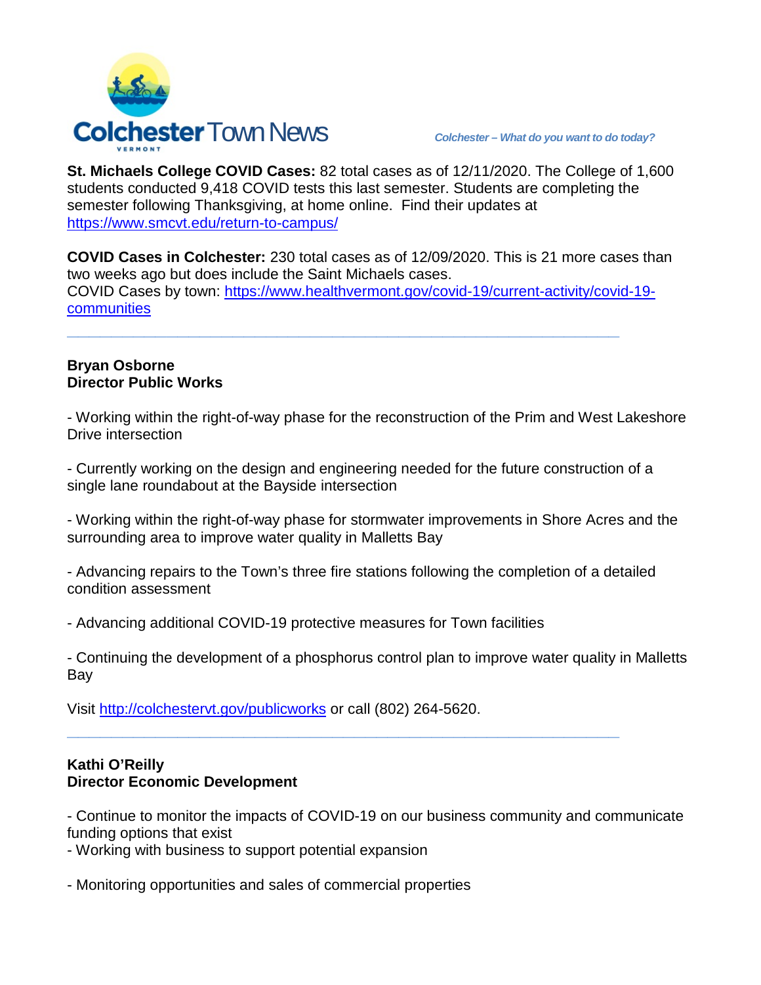

**St. Michaels College COVID Cases:** 82 total cases as of 12/11/2020. The College of 1,600 students conducted 9,418 COVID tests this last semester. Students are completing the semester following Thanksgiving, at home online. Find their updates at <https://www.smcvt.edu/return-to-campus/>

**COVID Cases in Colchester:** 230 total cases as of 12/09/2020. This is 21 more cases than two weeks ago but does include the Saint Michaels cases. COVID Cases by town: [https://www.healthvermont.gov/covid-19/current-activity/covid-19](https://www.healthvermont.gov/covid-19/current-activity/covid-19-communities) [communities](https://www.healthvermont.gov/covid-19/current-activity/covid-19-communities)

**\_\_\_\_\_\_\_\_\_\_\_\_\_\_\_\_\_\_\_\_\_\_\_\_\_\_\_\_\_\_\_\_\_\_\_\_\_\_\_\_\_\_\_\_\_\_\_\_\_\_**

#### **Bryan Osborne Director Public Works**

- Working within the right-of-way phase for the reconstruction of the Prim and West Lakeshore Drive intersection

- Currently working on the design and engineering needed for the future construction of a single lane roundabout at the Bayside intersection

- Working within the right-of-way phase for stormwater improvements in Shore Acres and the surrounding area to improve water quality in Malletts Bay

- Advancing repairs to the Town's three fire stations following the completion of a detailed condition assessment

- Advancing additional COVID-19 protective measures for Town facilities

- Continuing the development of a phosphorus control plan to improve water quality in Malletts Bay

**\_\_\_\_\_\_\_\_\_\_\_\_\_\_\_\_\_\_\_\_\_\_\_\_\_\_\_\_\_\_\_\_\_\_\_\_\_\_\_\_\_\_\_\_\_\_\_\_\_\_**

Visit<http://colchestervt.gov/publicworks> or call (802) 264-5620.

## **Kathi O'Reilly Director Economic Development**

- Continue to monitor the impacts of COVID-19 on our business community and communicate funding options that exist

- Working with business to support potential expansion

- Monitoring opportunities and sales of commercial properties